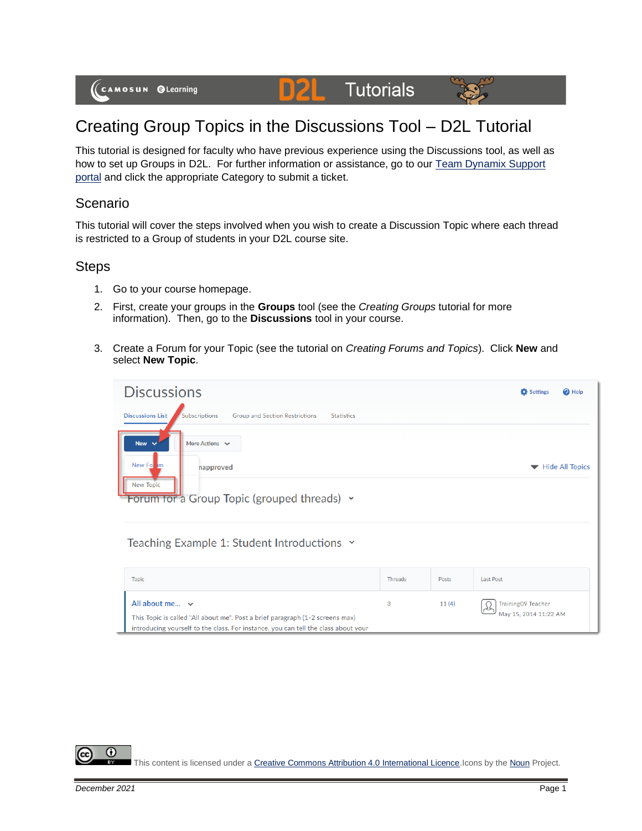#### **D2L Tutorials**



# Creating Group Topics in the Discussions Tool – D2L Tutorial

This tutorial is designed for faculty who have previous experience using the Discussions tool, as well as how to set up Groups in D2L. For further information or assistance, go to our Team Dynamix Support [portal](https://camosun.teamdynamix.com/TDClient/67/Portal/Requests/ServiceCatalog?CategoryID=523) and click the appropriate Category to submit a ticket.

### Scenario

This tutorial will cover the steps involved when you wish to create a Discussion Topic where each thread is restricted to a Group of students in your D2L course site.

### **Steps**

- 1. Go to your course homepage.
- 2. First, create your groups in the **Groups** tool (see the *Creating Groups* tutorial for more information). Then, go to the **Discussions** tool in your course.
- 3. Create a Forum for your Topic (see the tutorial on *Creating Forums and Topics*). Click **New** and select **New Topic**.

| <b>Discussions</b>                                                                                     | Settings<br><sup>O</sup> Help |
|--------------------------------------------------------------------------------------------------------|-------------------------------|
| <b>Discussions List</b><br><b>Group and Section Restrictions</b><br>Subscriptions<br><b>Statistics</b> |                               |
| New $\vee$<br>More Actions $\vee$                                                                      |                               |
| New Form<br>napproved                                                                                  | <b>Hide All Topics</b><br>▼   |
| <b>New Topic</b><br>Forum for a Group Topic (grouped threads) v                                        |                               |
| Teaching Example 1: Student Introductions v                                                            |                               |

| <b>Topic</b>                                                                                                                                                                               | <b>Threads</b> | Posts | <b>Last Post</b>                            |
|--------------------------------------------------------------------------------------------------------------------------------------------------------------------------------------------|----------------|-------|---------------------------------------------|
| All about me $\vee$<br>This Topic is called "All about me". Post a brief paragraph (1-2 screens max)<br>introducing yourself to the class. For instance, you can tell the class about your | 3              | 11(4) | Training09 Teacher<br>May 15, 2014 11:22 AM |

C

This content is licensed under [a Creative Commons Attribution 4.0 International Licence.I](https://creativecommons.org/licenses/by/4.0/)cons by th[e Noun](https://creativecommons.org/website-icons/) Project.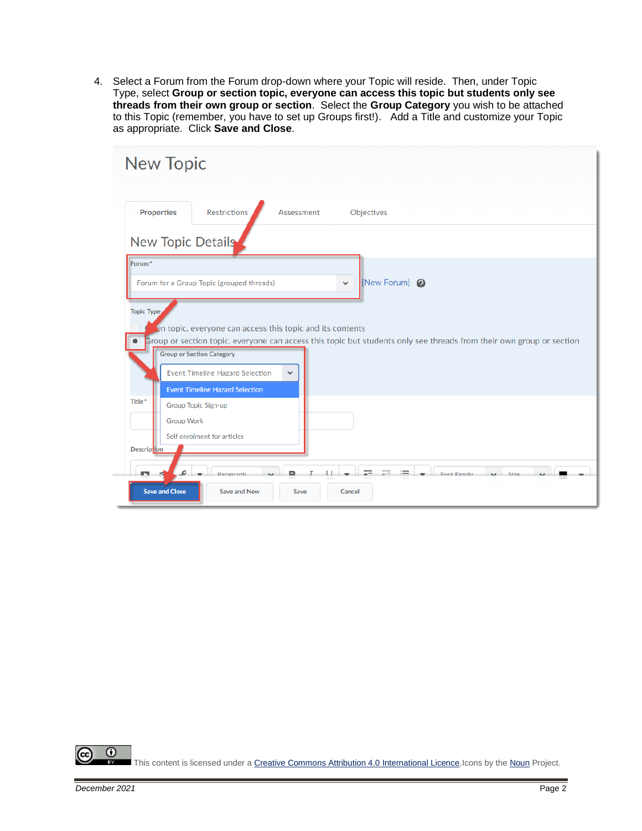4. Select a Forum from the Forum drop-down where your Topic will reside. Then, under Topic Type, select **Group or section topic, everyone can access this topic but students only see threads from their own group or section**. Select the **Group Category** you wish to be attached to this Topic (remember, you have to set up Groups first!). Add a Title and customize your Topic as appropriate. Click **Save and Close**.

| <b>New Topic</b>                                                                                                                                         |
|----------------------------------------------------------------------------------------------------------------------------------------------------------|
| <b>Restrictions</b><br><b>Properties</b><br>Assessment<br>Objectives                                                                                     |
| New Topic Details                                                                                                                                        |
| Forum <sup>*</sup><br>[New Forum] @<br>Forum for a Group Topic (grouped threads)<br>$\checkmark$                                                         |
| <b>Topic Type</b><br>en topic, everyone can access this topic and its contents                                                                           |
| Group or section topic, everyone can access this topic but students only see threads from their own group or section<br><b>Group or Section Category</b> |
| <b>Event Timeline Hazard Selection</b><br>$\checkmark$<br><b>Event Timeline Hazard Selection</b>                                                         |
| Title*<br>Group Topic Sign-up<br><b>Group Work</b>                                                                                                       |
| Self enrolment for articles<br><b>Description</b>                                                                                                        |
| $=$<br>$\mathcal{Q}$<br>n<br>Font Family<br>Size<br>Daragraph<br>$\sim$<br><b>Save and Close</b><br><b>Save and New</b><br>Save<br>Cancel                |

 $\odot$ (cc) This content is licensed under [a Creative Commons Attribution 4.0 International Licence.I](https://creativecommons.org/licenses/by/4.0/)cons by th[e Noun](https://creativecommons.org/website-icons/) Project. вy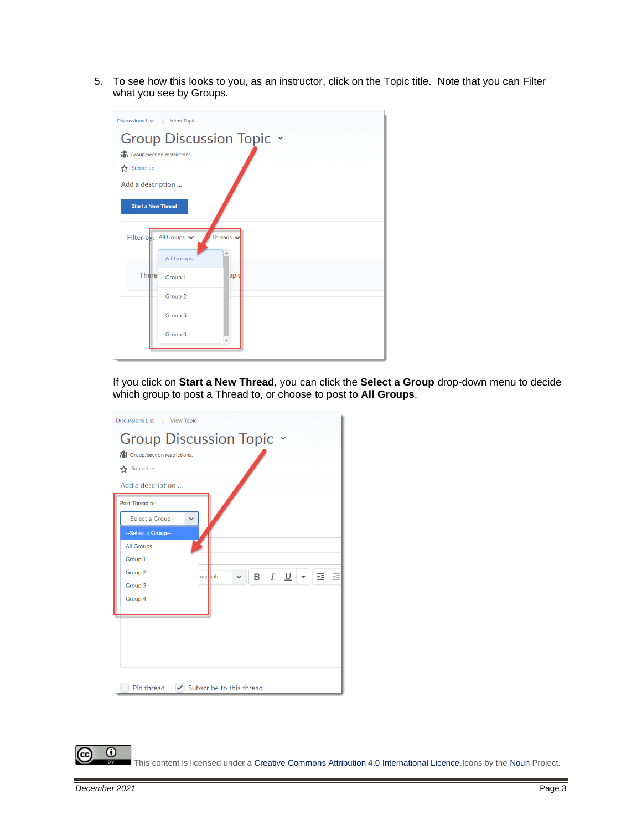5. To see how this looks to you, as an instructor, click on the Topic title. Note that you can Filter what you see by Groups.



If you click on **Start a New Thread**, you can click the **Select a Group** drop-down menu to decide which group to post a Thread to, or choose to post to **All Groups**.



This content is licensed under [a Creative Commons Attribution 4.0 International Licence.I](https://creativecommons.org/licenses/by/4.0/)cons by th[e Noun](https://creativecommons.org/website-icons/) Project.

 $^\copyright$ 

(cc